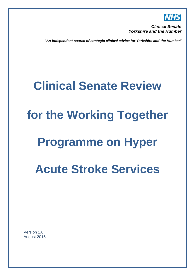

*Clinical Senate Yorkshire and the Humber* 

*"An independent source of strategic clinical advice for Yorkshire and the Humber"*

## **Clinical Senate Review**

# **for the Working Together**

## **Programme on Hyper**

## **Acute Stroke Services**

<span id="page-0-0"></span>Version 1.0 August 2015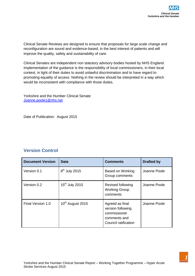Clinical Senate Reviews are designed to ensure that proposals for large scale change and reconfiguration are sound and evidence-based, in the best interest of patients and will improve the quality, safety and sustainability of care.

Clinical Senates are independent non statutory advisory bodies hosted by NHS England. Implementation of the guidance is the responsibility of local commissioners, in their local context, in light of their duties to avoid unlawful discrimination and to have regard to promoting equality of access. Nothing in the review should be interpreted in a way which would be inconsistent with compliance with those duties.

Yorkshire and the Humber Clinical Senate [Joanne.poole1@nhs.net](mailto:Joanne.poole1@nhs.net)

Date of Publication: August 2015

#### **Version Control**

| <b>Document Version</b> | <b>Date</b>                  | <b>Comments</b>                                                                              | <b>Drafted by</b> |
|-------------------------|------------------------------|----------------------------------------------------------------------------------------------|-------------------|
| Version 0.1             | $8th$ July 2015              | <b>Based on Working</b><br>Group comments                                                    | Joanne Poole      |
| Version 0.2             | 15 <sup>th</sup> July 2015   | Revised following<br><b>Working Group</b><br>comments                                        | Joanne Poole      |
| Final Version 1.0       | 10 <sup>th</sup> August 2015 | Agreed as final<br>version following<br>commissioner<br>comments and<br>Council ratification | Joanne Poole      |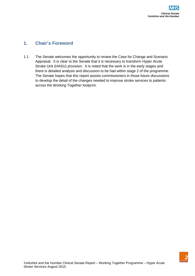## **1. Chair's Foreword**

1.1 The Senate welcomes the opportunity to review the Case for Change and Scenario Appraisal. It is clear to the Senate that it is necessary to transform Hyper Acute Stroke Unit (HASU) provision. It is noted that the work is in the early stages and there is detailed analysis and discussion to be had within stage 2 of the programme. The Senate hopes that this report assists commissioners in those future discussions to develop the detail of the changes needed to improve stroke services to patients across the Working Together footprint.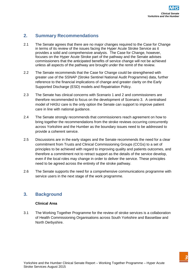## **2. Summary Recommendations**

- 2.1 The Senate agrees that there are no major changes required to the Case for Change in terms of its review of the issues facing the Hyper Acute Stroke Service as it provides a solid and comprehensive analysis. The Case for Change, however, focuses on the Hyper Acute Stroke part of the pathway and the Senate advises commissioners that the anticipated benefits of service change will not be achieved unless all aspects of the pathway are brought under the remit of the review.
- 2.2 The Senate recommends that the Case for Change could be strengthened with greater use of the SSNAP (Stroke Sentinel National Audit Programme) data, further reference to the financial implications of change and greater clarity on the Early Supported Discharge (ESD) models and Repatriation Policy.
- 2.3 The Senate has clinical concerns with Scenario 1 and 2 and commissioners are therefore recommended to focus on the development of Scenario 3. A centralised model of HASU care is the only option the Senate can support to improve patient care in line with national guidance.
- 2.4 The Senate strongly recommends that commissioners reach agreement on how to bring together the recommendations from the stroke reviews occurring concurrently across Yorkshire and the Humber as the boundary issues need to be addressed to provide a coherent service.
- 2.5 Discussions are in the early stages and the Senate recommends the need for a clear commitment from Trusts and Clinical Commissioning Groups (CCGs) to a set of principles to be achieved with regard to improving quality and patients outcomes, and therefore a commitment not to retract support as the details of the service develop, even if the local roles may change in order to deliver the service. These principles need to be agreed across the entirety of the stroke pathway.
- 2.6 The Senate supports the need for a comprehensive communications programme with service users in the next stage of the work programme.

## **3. Background**

#### **Clinical Area**

3.1 The Working Together Programme for the review of stroke services is a collaboration of Health Commissioning Organisations across South Yorkshire and Bassetlaw and North Derbyshire.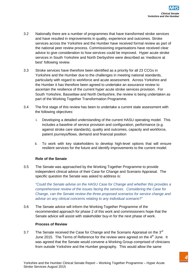- 3.2 Nationally there are a number of programmes that have transformed stroke services and have resulted in improvements in quality, experience and outcomes. Stroke services across the Yorkshire and the Humber have received formal review as part of the national peer review process. Commissioning organisations have received clear advice to give consideration to how services could be improved. Hyper acute stroke services in South Yorkshire and North Derbyshire were described as 'mediocre at best' following review.
- 3.3 Stroke services have therefore been identified as a priority for all 23 CCGs in Yorkshire and the Humber due to the challenges in meeting national standards, particularly with regard to workforce and acute assessment. Across Yorkshire and the Humber it has therefore been agreed to undertake an assurance review to ascertain the resilience of the current hyper acute stroke services provision. For South Yorkshire, Bassetlaw and North Derbyshire, the review is being undertaken as part of the Working Together Transformation Programme.
- 3.4 The first stage of this review has been to undertake a current state assessment with the following objectives:
	- i. Developing a detailed understanding of the current HASU operating model. This includes a baseline of service provision and configuration, performance (e.g. against stroke care standards), quality and outcomes, capacity and workforce, patient journeys/flows, demand and financial position
	- ii. To work with key stakeholders to develop high-level options that will ensure resilient services for the future and identify improvements to the current model.

#### **Role of the Senate**

3.5 The Senate was approached by the Working Together Programme to provide independent clinical advice of their Case for Change and Scenario Appraisal. The specific question the Senate was asked to address is:

*"Could the Senate advise on the HASU Case for Change and whether this provides a comprehensive review of the issues facing the services. Considering the Case for Change, can the Senate review the three proposed scenarios for service change and advise on any clinical concerns relating to any individual scenario?"*

3.6 The Senate advice will inform the Working Together Programme of the recommended approach for phase 2 of this work and commissioners hope that the Senate advice will assist with stakeholder buy-in for the next phase of work.

#### **Process of Review**

3.7 The Senate received the Case for Change and the Scenario Appraisal on the 3<sup>rd</sup> June 2015. The Terms of Reference for the review were agreed on the 4<sup>th</sup> June. It was agreed that the Senate would convene a Working Group comprised of clinicians from outside Yorkshire and the Humber geography. This would allow the same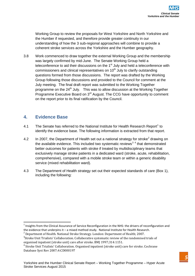Working Group to review the proposals for West Yorkshire and North Yorkshire and the Humber if requested, and therefore provide greater continuity in our understanding of how the 3 sub-regional approaches will combine to provide a coherent stroke services across the Yorkshire and the Humber geography.

3.8 Work commenced to draw together the external Working Group and the membership was largely confirmed by mid-June. The Senate Working Group held a teleconference to aid their discussions on the  $1<sup>st</sup>$  July and held a teleconference with commissioners and clinical representatives on 10<sup>th</sup> July to clarify outstanding questions formed from those discussions. The report was drafted by the Working Group following those discussions and provided to the Council for comment at the July meeting. The final draft report was submitted to the Working Together programme on the  $24<sup>th</sup>$  July. This was to allow discussion at the Working Together Programme Executive Board on 3<sup>rd</sup> August. The CCG have opportunity to comment on the report prior to its final ratification by the Council.

## **4. Evidence Base**

- 4.[1](#page-0-0) The Senate has referred to the National Institute for Health Research Report<sup>1</sup> to identify the evidence base. The following information is extracted from that report.
- 4.[2](#page-5-0) In 2007, the Department of Health set out a national strategy for stroke<sup>2</sup> drawing on the available evidence. This included two systematic reviews<sup>[3](#page-5-1)[4](#page-5-2)</sup> that demonstrated better outcomes for patients with stroke if treated by multidisciplinary teams that exclusively manage stroke patients in a dedicated ward (stroke, acute, rehabilitation, comprehensive), compared with a mobile stroke team or within a generic disability service (mixed rehabilitation ward).
- 4.3 The Department of Health strategy set out their expected standards of care (Box 1), including the following:

<sup>&</sup>lt;sup>1</sup> Insights from the Clinical Assurance of Service Reconfiguration in the NHS: the drivers of reconfiguration and the evidence that underpins it – a mixed method study. National Institute for Health Research.

<span id="page-5-0"></span>the evidence that underpins it – a mixed method studies for Health Research. 2007.

<span id="page-5-1"></span><sup>&</sup>lt;sup>3</sup>Stroke Unit Trialists' Collaboration. Collaborative systematic review of the randomised trials of organised inpatient (stroke unit) care after stroke. BMJ 1997;314:1151.<br><sup>4</sup> Stroke Unit Trialists' Collaboration. Organised inpatient (stroke unit) care for stroke. Cochrane

<span id="page-5-3"></span><span id="page-5-2"></span>Database Syst Rev 2007;4:CD000197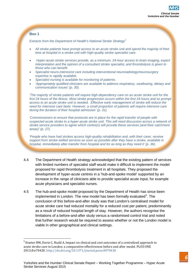#### **Box 1**

*Extracts from the Department of Health's National Stroke Strategy<sup>1</sup>*

- *All stroke patients have prompt access to an acute stroke unit and spend the majority of their time at hospital in a stroke unit with high-quality stroke specialist care.*
- *Hyper-acute stroke services provide, as a minimum, 24-hour access to brain imaging, expert interpretation and the opinion of a consultant stroke specialist, and thrombolysis is given to those who can benefit.*
- *Specialist neuro-intensivist care including interventional neuroradiology/neurosurgery expertise is rapidly available.*
- *Specialist nursing is available for monitoring of patients.*
- *'Appropriately qualified clinicians are available to address respiratory, swallowing, dietary and communication issues' (p. 30).*

*'The majority of stroke patients will require high-dependency care on an acute stroke unit for the first 24 hours of the illness. Most stroke progression occurs within the first 24 hours and so prompt access to an acute stroke unit is needed. Effective early management of stroke will reduce the need for intensive care beds. However, a small proportion of patients will require intensive care during the duration of their hospital admission' (p. 31).*

*'Commissioners to ensure that protocols are in place for the rapid transfer of people with suspected acute stroke to a hyper-acute stroke unit. This will need discussion across a network of stroke service providers to agree which centre(s) will provide these services (and their catchment areas)' (p. 27).*

*'People who have had strokes access high-quality rehabilitation and, with their carer, receive support from stroke-skilled services as soon as possible after they have a stroke, available in hospital, immediately after transfer from hospital and for as long as they need it' (p. 36).*

- 4.4 The Department of Health strategy acknowledged that the existing pattern of services with limited numbers of specialist staff would make it difficult to implement the model proposed for rapid thrombolysis treatment in all hospitals. They proposed the development of hyper-acute centres in a 'hub-and-spoke model' supported by an increase in the range of clinicians able to provide specialist acute input, for example acute physicians and specialist nurses.
- <span id="page-6-0"></span>4.5 The hub-and-spoke model proposed by the Department of Health has since been implemented in London. The new model has been formally evaluated<sup>[5](#page-5-3)</sup>. The conclusion of this before-and-after study was that London's centralised model for acute stroke care had reduced mortality for a reduced cost per patient, predominantly as a result of reduced hospital length of stay. However, the authors recognise the limitations of a before-and-after study versus a randomised control trial and noted that further research would be required to assess whether or not the London model is viable in other geographical and clinical settings.

<sup>&</sup>lt;sup>5</sup> Hunter RM, Davie C, Rudd A. Impact on clinical and cost outcomes of a centralized approach to acute stroke care in London: a comparative effectiveness before and after model. PLOS ONE 2013;8:e70420. http://dx.doi.org/10.1371/journal.pone.0070420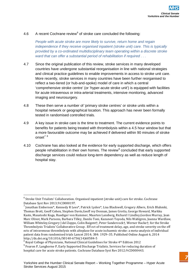#### 4.[6](#page-6-0) A recent Cochrane review $6$  of stroke care concluded the following:

*People with acute stroke are more likely to survive, return home and regain independence if they receive organised inpatient (stroke unit) care. This is typically provided by a co-ordinated multidisciplinary team operating within a discrete stroke ward that can offer a substantial period of rehabilitation if required . . .*

- 4.7 Since the original publication of this review, stroke services in many developed countries have undergone substantial reorganisation in line with national strategies and clinical practice guidelines to enable improvements in access to stroke unit care. More recently, stroke services in many countries have been further reorganised to reflect a two-tiered (or hub-and-spoke) model of care in which a central 'comprehensive stroke centre' (or 'hyper-acute stroke unit') is equipped with facilities for acute intravenous or intra-arterial treatments, intensive monitoring, advanced imaging and neurosurgery.
- 4.8 These then serve a number of 'primary stroke centres' or stroke units within a hospital network or geographical location. This approach has never been formally tested in randomised controlled trials.
- 4.9 A key issue in stroke care is the time to treatment. The current evidence points to benefits for patients being treated with thrombolysis within a 4.5 hour window but that a more favourable outcome may be achieved if delivered within 90 minutes of stroke onset $78$  $78$
- 4.10 Cochrane has also looked at the evidence for early supported discharge, which offers people rehabilitation in their own homes. The review<sup>[9](#page-7-2)</sup> concluded that early supported discharge services could reduce long-term dependency as well as reduce length of hospital stay.

 $^6$  Stroke Unit Trialists' Collaboration. Organised inpatient (stroke unit) care for stroke. Cochrane<br>Database Syst Rev 2013;9:CD000197.

<span id="page-7-0"></span> $^7$  Jonathan Emberson\*, Kennedy R Lees\*, Patrick Lyden\*, Lisa Blackwell, Gregory Albers, Erich Bluhmki, Thomas Brott, Geoff Cohen, Stephen Davis,Geoff rey Donnan, James Grotta, George Howard, Markku Kaste, Masatoshi Koga, Ruediger von Kummer, Maarten Lansberg, Richard I Lindley,Gordon Murray, Jean Marc Olivot, Mark Parsons, Barbara Tilley, Danilo Toni, Kazunori Toyoda, Nils Wahlgren, Joanna Wardlaw, William Whiteley,Gregory J del Zoppo, Colin Baigent†, Peter Sandercock†, Werner Hacke†; for the Stroke Thrombolysis Trialists' Collaborative Group . Eff ect of treatment delay, age, and stroke severity on the eff ects of intravenous thrombolysis with alteplase for acute ischaemic stroke: a meta-analysis of individual patient data from randomised trials Lancet 2014; 384: 1929–35. Published Online August 6, 2014

<span id="page-7-1"></span> $8$  Royal College of Physicians, National Clinical Guidelines for Stroke 4<sup>th</sup> Edition 2012

<span id="page-7-2"></span><sup>&</sup>lt;sup>9</sup> Fearon P, Langhorne P, Early Supported Discharge Trialists. Services for reducing duration of hospital care for acute stroke patients. Cochrane Database Syst Rev 2012;9:CD000443.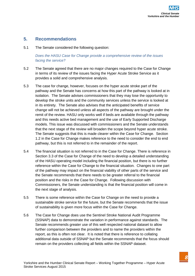#### **5. Recommendations**

5.1 The Senate considered the following question:

#### *Does the HASU Case for Change provide a comprehensive review of the issues facing the service?*

- 5.2 The Senate agreed that there are no major changes required to the Case for Change in terms of its review of the issues facing the Hyper Acute Stroke Service as it provides a solid and comprehensive analysis.
- 5.3 The case for change, however, focuses on the hyper acute stroke part of the pathway and the Senate has concerns at how this part of the pathway is looked at in isolation. The Senate advises commissioners that they may lose the opportunity to develop the stroke units and the community services unless the service is looked at in its entirety. The Senate also advises that the anticipated benefits of service change will not be achieved unless all aspects of the pathway are brought under the remit of the review. HASU only works well if beds are available through the pathway and this needs active bed management and the use of Early Supported Discharge models. This issue was discussed with commissioners and the Senate understands that the next stage of the review will broaden the scope beyond hyper acute stroke. The Senate suggests that this is made clearer within the Case for Change. Section 1.2 in the Case for Change makes reference to the need to consider the end to end pathway, but this is not referred to in the remainder of the report.
- 5.4 The financial situation is not referred to in the Case for Change. There is reference in Section 3.3 of the Case for Change of the need to develop a detailed understanding of the HASU operating model including the financial position, but there is no further reference within the Case for Change to the financial situation. Changes to one part of the pathway may impact on the financial viability of other parts of the service and the Senate recommends that there needs to be greater referral to the financial position and the risks in the Case for Change. Following discussion with Commissioners, the Senate understanding is that the financial position will come in the next stage of analysis.
- 5.5 There is some reference within the Case for Change on the need to provide a sustainable stroke service for the future, but the Senate recommends that the issue of sustainability is given more focus within the Case for Change.
- 5.6 The Case for Change does use the Sentinel Stroke National Audit Programme (SSNAP) data to demonstrate the variation in performance against standards. The Senate recommends greater use of this well respected national dataset to allow further comparison between the providers and to name the providers within the report, as this is often not clear. It is noted that there is reference to collating additional data outside of SSNAP but the Senate recommends that the focus should remain on the providers collecting all fields within the SSNAP dataset.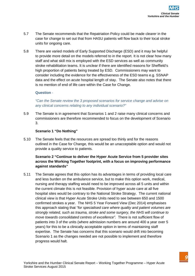- 5.7 The Senate recommends that the Repatriation Policy could be made clearer in the case for change to set out that from HASU patients will flow back to their local stroke units for ongoing care.
- 5.8 There are varied models of Early Supported Discharge (ESD) and it may be helpful to provide more detail on the models referred to in the report. It is not clear how many staff and what skill mix is employed with the ESD services as well as community stroke rehabilitation teams. It is unclear if there are identified reasons for Sheffield's high proportion of patients being treated by ESD. Commissioners may want to consider including the evidence for the effectiveness of the ESD teams e.g. SSNAP data and the effect on acute hospital length of stay. The Senate also notes that there is no mention of end of life care within the Case for Change.

#### **Question** -

*"Can the Senate review the 3 proposed scenarios for service change and advise on any clinical concerns relating to any individual scenario?"*

5.9 The Senate is in agreement that Scenarios 1 and 2 raise many clinical concerns and commissioners are therefore recommended to focus on the development of Scenario 3.

#### **Scenario 1 "Do Nothing"**

5.10 The Senate feels that the resources are spread too thinly and for the reasons outlined in the Case for Change, this would be an unacceptable option and would not provide a quality service to patients.

#### **Scenario 2 "Continue to deliver the Hyper Acute Service from 5 provider sites across the Working Together footprint, with a focus on improving performance against standards"**

5.11 The Senate agrees that this option has its advantages in terms of providing local care and less burden on the ambulance service, but to make this option work, medical, nursing and therapy staffing would need to be improved across all 5 units and within the current climate this is not feasible. Provision of hyper acute care at all five hospital sites would be contrary to the National Stroke Strategy. The current national clinical view is that Hyper Acute Stroke Units need to see between 650 and 1500 confirmed strokes a year. The NHS 5 Year Forward View (Dec 2014) emphasises this approach stating that *"for specialised care where quality and patient volumes are strongly related, such as trauma, stroke and some surgery, the NHS will continue to move towards consolidated centres of excellence".* There is not sufficient flow of patients into 3 of the units (where admission numbers are around 400 a year over 5 years) for this to be a clinically acceptable option in terms of maintaining staff expertise. The Senate has concerns that this scenario would drift into becoming Scenario 1 as the changes needed are not possible to implement and therefore progress would halt.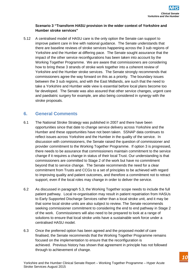#### **Scenario 3 "Transform HASU provision in the wider context of Yorkshire and Humber stroke services"**

5.12 A centralised model of HASU care is the only option the Senate can support to improve patient care in line with national guidance. The Senate understands that there are baseline reviews of stroke services happening across the 3 sub regions of Yorkshire and the Humber at differing pace. The Senate sought assurance that the impact of the other service reconfigurations has been taken into account by the Working Together Programme. We are aware that commissioners are considering how to bring these 3 strands of stroke work together into a coherent review of Yorkshire and the Humber stroke services. The Senate strongly recommends that commissioners agree the way forward on this as a priority. The boundary issues between the 3 sub regions, and with the East Midlands, are such that the need to take a Yorkshire and Humber wide view is essential before local plans become too far developed. The Senate was also assured that other service changes, urgent care and paediatric surgery for example, are also being considered in synergy with the stroke proposals.

## **6. General Comments**

- 6.1 The National Stroke Strategy was published in 2007 and there have been opportunities since that date to change service delivery across Yorkshire and the Humber and these opportunities have not been taken. SSNAP data continues to reflect issues across Yorkshire and the Humber in the quality of the service. In discussion with commissioners, the Senate raised the question of commissioner and provider commitment to the Working Together Programme. If option 3 is progressed, there needs to be assurance that commissioners maintain commitment to the service change if it requires a change in status of their local Trust. Our understanding is that commissioners are committed to Stage 2 of the work but have no commitment beyond that to service change. The Senate recommends the need for a clear commitment from Trusts and CCGs to a set of principles to be achieved with regard to improving quality and patient outcomes, and therefore a commitment not to retract support, even if the local roles may change in order to deliver the service.
- 6.2 As discussed in paragraph 5.3, the Working Together scope needs to include the full patient pathway. Local re-organisation may result in patient repatriation from HASUs to Early Supported Discharge Services rather than a local stroke unit, and it may be that some local stroke units are also subject to review. The Senate recommends seeking commissioner commitment to considering the end to end pathway in Stage 2 of the work. Commissioners will also need to be prepared to look at a range of solutions to ensure that local stroke units have a sustainable work force under a centralised HASU model.
- 6.3 Once the preferred option has been agreed and the proposed model of care finalised, the Senate recommends that the Working Together Programme remains focused on the implementation to ensure that the reconfiguration is achieved. Previous history has shown that agreement in principle has not followed through to achievement of change.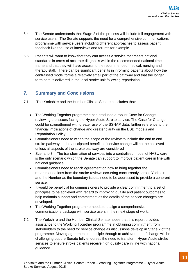- 6.4 The Senate understands that Stage 2 of the process will include full engagement with service users. The Senate supports the need for a comprehensive communications programme with service users including different approaches to assess patient feedback like the use of interviews and forums for example.
- 6.5 Patients will want to know that they can access a service that meets national standards in terms of accurate diagnosis within the recommended national time frame and that they will have access to the recommended medical, nursing and therapy staff. There can be significant benefits in informing patients about how the centralised model forms a relatively small part of the pathway and that the longer term care is delivered in the local stroke unit following repatriation.

## **7. Summary and Conclusions**

- 7.1 The Yorkshire and the Humber Clinical Senate concludes that:
	- The Working Together programme has produced a robust Case for Change reviewing the issues facing the Hyper Acute Stroke service. The Case for Change could be strengthened with greater use of the SSNAP data, further reference to the financial implications of change and greater clarity on the ESD models and Repatriation Policy
	- Commissioners need to widen the scope of the review to include the end to end stroke pathway as the anticipated benefits of service change will not be achieved unless all aspects of the stroke pathway are considered
	- Scenario 3 The transformation of services into a centralised model of HASU care is the only scenario which the Senate can support to improve patient care in line with national guidance.
	- Commissioners need to reach agreement on how to bring together the recommendations from the stroke reviews occurring concurrently across Yorkshire and the Humber as the boundary issues need to be addressed to provide a coherent service.
	- It would be beneficial for commissioners to provide a clear commitment to a set of principles to be achieved with regard to improving quality and patient outcomes to help maintain support and commitment as the details of the service changes are developed.
	- The Working Together programme needs to design a comprehensive communications package with service users in their next stage of work.
- 7.2 The Yorkshire and the Humber Clinical Senate hopes that this report provides assistance to the Working Together programme in obtaining commitment from stakeholders to the need for service change as discussions develop in Stage 2 of the programme. Moving agreement in principle through to achievement of change will be challenging but the Senate fully endorses the need to transform Hyper Acute stroke services to ensure stroke patients receive high quality care in line with national guidance.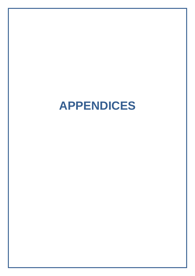## **APPENDICES**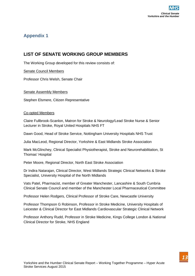

## **LIST OF SENATE WORKING GROUP MEMBERS**

The Working Group developed for this review consists of:

#### Senate Council Members

Professor Chris Welsh, Senate Chair

#### Senate Assembly Members

Stephen Elsmere, Citizen Representative

#### Co-opted Members

Claire Fullbrook-Scanlon, Matron for Stroke & Neurology/Lead Stroke Nurse & Senior Lecturer in Stroke, Royal United Hospitals NHS FT

Dawn Good, Head of Stroke Service, Nottingham University Hospitals NHS Trust

Julia MacLeod, Regional Director, Yorkshire & East Midlands Stroke Association

Mark McGlinchey, Clinical Specialist Physiotherapist, Stroke and Neurorehabilitation, St Thomas' Hospital

Peter Moore, Regional Director, North East Stroke Association

Dr Indira Natarajan, Clinical Director, West Midlands Strategic Clinical Networks & Stroke Specialist, University Hospital of the North Midlands

Vats Patel, Pharmacist, member of Greater Manchester, Lancashire & South Cumbria Clinical Senate Council and member of the Manchester Local Pharmaceutical Committee

Professor Helen Rodgers, Clinical Professor of Stroke Care, Newcastle University

Professor Thompson G Robinson, Professor in Stroke Medicine, University Hospitals of Leicester & Clinical Director for East Midlands Cardiovascular Strategic Clinical Network

Professor Anthony Rudd, Professor in Stroke Medicine, Kings College London & National Clinical Director for Stroke, NHS England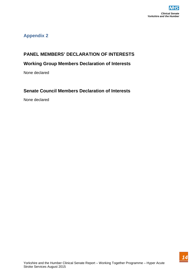## **PANEL MEMBERS' DECLARATION OF INTERESTS**

## **Working Group Members Declaration of Interests**

None declared

## **Senate Council Members Declaration of Interests**

None declared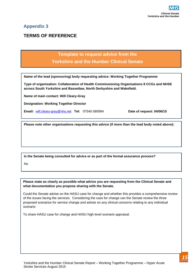## **TERMS OF REFERENCE**

## **Template to request advice from the Yorkshire and the Humber Clinical Senate**

**Name of the lead (sponsoring) body requesting advice: Working Together Programme**

**Type of organisation: Collaboration of Health Commissioning Organisations 8 CCGs and NHSE across South Yorkshire and Bassetlaw, North Derbyshire and Wakefield.**

**Name of main contact: Will Cleary-Gray**

**Designation: Working Together Director** 

**Email:** [will.cleary-gray@nhs.net](mailto:will.cleary-gray@nhs.net) **Tel:** 07540 080994 **Date of request: 04/06/15**

**Please note other organisations requesting this advice (if more than the lead body noted above):**

**Is the Senate being consulted for advice or as part of the formal assurance process?**

No

**Please state as clearly as possible what advice you are requesting from the Clinical Senate and what documentation you propose sharing with the Senate.**

Could the Senate advise on the HASU case for change and whether this provides a comprehensive review of the issues facing the services. Considering the case for change can the Senate review the three proposed scenarios for service change and advise on any clinical concerns relating to any individual scenario

To share HASU case for change and HASU high level scenario appraisal.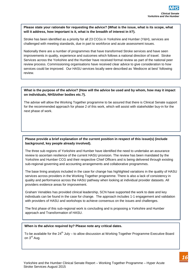**Please state your rationale for requesting the advice? (What is the issue, what is its scope, what will it address, how important is it, what is the breadth of interest in it?).**

Stroke has been identified as a priority for all 23 CCGs in Yorkshire and Humber (Y&H), services are challenged with meeting standards, due in part to workforce and acute assessment issues.

Nationally there are a number of programmes that have transformed Stroke services and have seen improvements in quality, experience and outcomes which follows a national direction of travel. Stroke Services across the Yorkshire and the Humber have received formal review as part of the national peer review process. Commissioning organisations have received clear advice to give consideration to how services could be improved. Our HASU services locally were described as 'Mediocre at best' following review.

#### **What is the purpose of the advice? (How will the advice be used and by whom, how may it impact on individuals, NHS/other bodies etc.?).**

The advise will allow the Working Together programme to be assured that there is Clinical Senate support for the recommended approach for phase 2 of this work, which will assist with stakeholder buy-in for the next phase of work.

#### **Please provide a brief explanation of the current position in respect of this issue(s) (include background, key people already involved).**

The three sub regions of Yorkshire and Humber have identified the need to undertake an assurance review to ascertain resilience of the current HASU provision. The review has been mandated by the Yorkshire and Humber CCG and their respective Chief Officers and is being delivered through existing sub-regional governing and accounting arrangements and collaborative programmes.

The base lining analysis included in the case for change has highlighted variations in the quality of HASU services across providers in the Working Together programme. There is also a lack of consistency in quality and performance across the HASU pathway when looking at individual provider datasets. All providers evidence areas for improvement.

Graham Venables has provided clinical leadership, SCN have supported the work to date and key individuals can be found in the case for change. The approach includes 1-1 engagement and validation with providers of HASU and workshops to achieve consensus on the issues and challenges.

The first phase of this sub-regional work is concluding and is proposing a Yorkshire and Humber approach and Transformation of HASU.

#### **When is the advice required by? Please note any critical dates.**

To be available for the 24<sup>th</sup> July – to allow discussion at Working Together Programme Executive Board on 3<sup>rd</sup> Aug.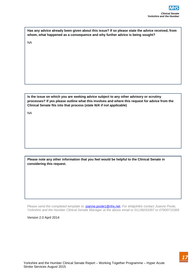| Has any advice already been given about this issue? If so please state the advice received, from |
|--------------------------------------------------------------------------------------------------|
| whom, what happened as a consequence and why further advice is being sought?                     |

NA

**Is the issue on which you are seeking advice subject to any other advisory or scrutiny processes? If yes please outline what this involves and where this request for advice from the Clinical Senate fits into that process (***state N/A if not applicable***)**

NA

**Please note any other information that you feel would be helpful to the Clinical Senate in considering this request.** 

*Please send the completed template to:* [joanne.poole1@nhs.net.](mailto:joanne.poole1@nhs.net) For enquiries contact Joanne Poole, *Yorkshire and the Humber Clinical Senate Manager at the above email or 01138253397 or 07900715369*

Version 2.0 April 2014